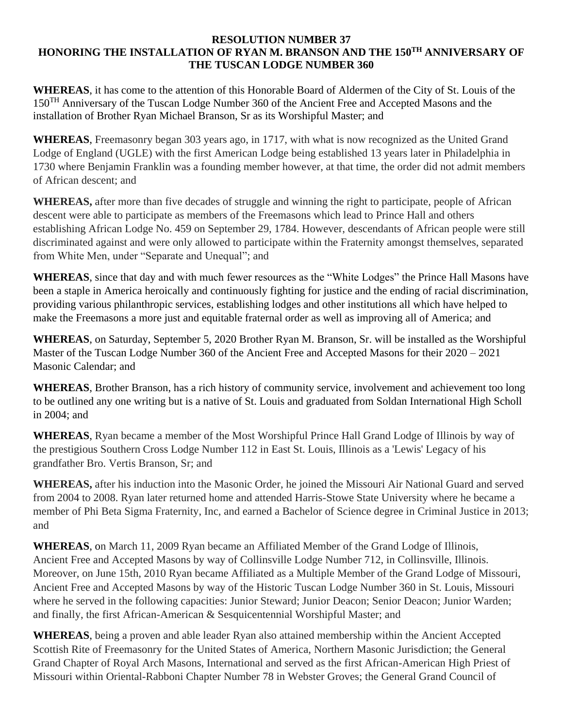## **RESOLUTION NUMBER 37 HONORING THE INSTALLATION OF RYAN M. BRANSON AND THE 150TH ANNIVERSARY OF THE TUSCAN LODGE NUMBER 360**

**WHEREAS**, it has come to the attention of this Honorable Board of Aldermen of the City of St. Louis of the 150<sup>TH</sup> Anniversary of the Tuscan Lodge Number 360 of the Ancient Free and Accepted Masons and the installation of Brother Ryan Michael Branson, Sr as its Worshipful Master; and

**WHEREAS**, Freemasonry began 303 years ago, in 1717, with what is now recognized as the United Grand Lodge of England (UGLE) with the first American Lodge being established 13 years later in Philadelphia in 1730 where Benjamin Franklin was a founding member however, at that time, the order did not admit members of African descent; and

**WHEREAS,** after more than five decades of struggle and winning the right to participate, people of African descent were able to participate as members of the Freemasons which lead to Prince Hall and others establishing African Lodge No. 459 on September 29, 1784. However, descendants of African people were still discriminated against and were only allowed to participate within the Fraternity amongst themselves, separated from White Men, under "Separate and Unequal"; and

**WHEREAS**, since that day and with much fewer resources as the "White Lodges" the Prince Hall Masons have been a staple in America heroically and continuously fighting for justice and the ending of racial discrimination, providing various philanthropic services, establishing lodges and other institutions all which have helped to make the Freemasons a more just and equitable fraternal order as well as improving all of America; and

**WHEREAS**, on Saturday, September 5, 2020 Brother Ryan M. Branson, Sr. will be installed as the Worshipful Master of the Tuscan Lodge Number 360 of the Ancient Free and Accepted Masons for their 2020 – 2021 Masonic Calendar; and

**WHEREAS**, Brother Branson, has a rich history of community service, involvement and achievement too long to be outlined any one writing but is a native of St. Louis and graduated from Soldan International High Scholl in 2004; and

**WHEREAS**, Ryan became a member of the Most Worshipful Prince Hall Grand Lodge of Illinois by way of the prestigious Southern Cross Lodge Number 112 in East St. Louis, Illinois as a 'Lewis' Legacy of his grandfather Bro. Vertis Branson, Sr; and

**WHEREAS,** after his induction into the Masonic Order, he joined the Missouri Air National Guard and served from 2004 to 2008. Ryan later returned home and attended Harris-Stowe State University where he became a member of Phi Beta Sigma Fraternity, Inc, and earned a Bachelor of Science degree in Criminal Justice in 2013; and

**WHEREAS**, on March 11, 2009 Ryan became an Affiliated Member of the Grand Lodge of Illinois, Ancient Free and Accepted Masons by way of Collinsville Lodge Number 712, in Collinsville, Illinois. Moreover, on June 15th, 2010 Ryan became Affiliated as a Multiple Member of the Grand Lodge of Missouri, Ancient Free and Accepted Masons by way of the Historic Tuscan Lodge Number 360 in St. Louis, Missouri where he served in the following capacities: Junior Steward; Junior Deacon; Senior Deacon; Junior Warden; and finally, the first African-American & Sesquicentennial Worshipful Master; and

**WHEREAS**, being a proven and able leader Ryan also attained membership within the Ancient Accepted Scottish Rite of Freemasonry for the United States of America, Northern Masonic Jurisdiction; the General Grand Chapter of Royal Arch Masons, International and served as the first African-American High Priest of Missouri within Oriental-Rabboni Chapter Number 78 in Webster Groves; the General Grand Council of